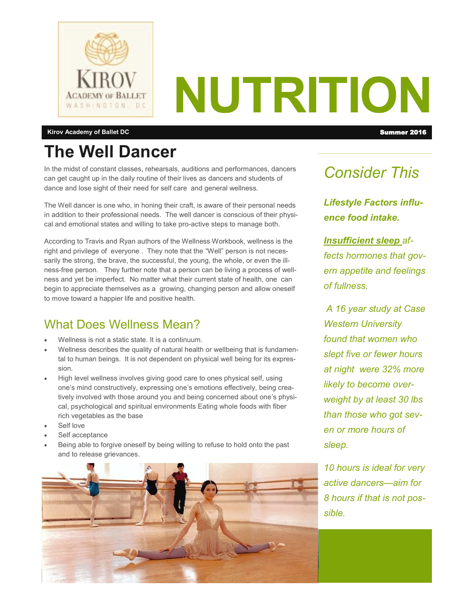

# **NUTRITION**

#### **Kirov Academy of Ballet DC** Summer 2016 **Summer 2016**

## **The Well Dancer**

In the midst of constant classes, rehearsals, auditions and performances, dancers can get caught up in the daily routine of their lives as dancers and students of dance and lose sight of their need for self care and general wellness.

The Well dancer is one who, in honing their craft, is aware of their personal needs in addition to their professional needs. The well dancer is conscious of their physical and emotional states and willing to take pro-active steps to manage both.

According to Travis and Ryan authors of the Wellness Workbook, wellness is the right and privilege of everyone . They note that the "Well" person is not necessarily the strong, the brave, the successful, the young, the whole, or even the illness-free person. They further note that a person can be living a process of wellness and yet be imperfect. No matter what their current state of health, one can begin to appreciate themselves as a growing, changing person and allow oneself to move toward a happier life and positive health.

#### What Does Wellness Mean?

- Wellness is not a static state. It is a continuum.
- Wellness describes the quality of natural health or wellbeing that is fundamental to human beings. It is not dependent on physical well being for its expression.
- High level wellness involves giving good care to ones physical self, using one's mind constructively, expressing one's emotions effectively, being creatively involved with those around you and being concerned about one's physical, psychological and spiritual environments Eating whole foods with fiber rich vegetables as the base
- Self love
- Self acceptance
- Being able to forgive oneself by being willing to refuse to hold onto the past and to release grievances.



### *Consider This*

*Lifestyle Factors influence food intake.*

*Insufficient sleep affects hormones that govern appetite and feelings of fullness.* 

*A 16 year study at Case Western University found that women who slept five or fewer hours at night were 32% more likely to become overweight by at least 30 lbs than those who got seven or more hours of sleep.* 

*10 hours is ideal for very active dancers—aim for 8 hours if that is not possible.*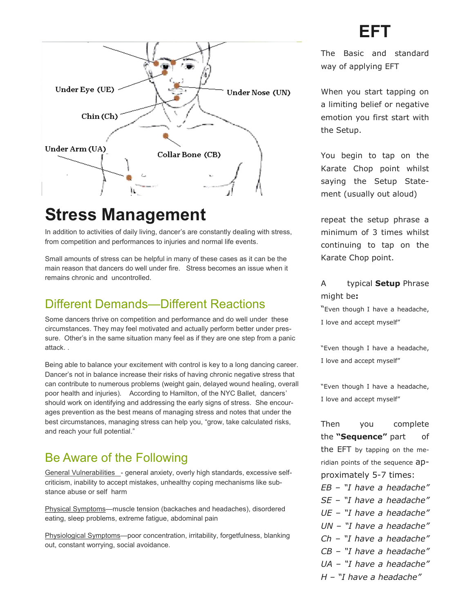## **EFT**



## **Stress Management**

In addition to activities of daily living, dancer's are constantly dealing with stress, from competition and performances to injuries and normal life events.

Small amounts of stress can be helpful in many of these cases as it can be the main reason that dancers do well under fire. Stress becomes an issue when it remains chronic and uncontrolled.

#### Different Demands—Different Reactions

Some dancers thrive on competition and performance and do well under these circumstances. They may feel motivated and actually perform better under pressure. Other's in the same situation many feel as if they are one step from a panic attack. .

Being able to balance your excitement with control is key to a long dancing career. Dancer's not in balance increase their risks of having chronic negative stress that can contribute to numerous problems (weight gain, delayed wound healing, overall poor health and injuries). According to Hamilton, of the NYC Ballet, dancers' should work on identifying and addressing the early signs of stress. She encourages prevention as the best means of managing stress and notes that under the best circumstances, managing stress can help you, "grow, take calculated risks, and reach your full potential."

#### Be Aware of the Following

General Vulnerabilities \_- general anxiety, overly high standards, excessive selfcriticism, inability to accept mistakes, unhealthy coping mechanisms like substance abuse or self harm

Physical Symptoms—muscle tension (backaches and headaches), disordered eating, sleep problems, extreme fatigue, abdominal pain

Physiological Symptoms-poor concentration, irritability, forgetfulness, blanking out, constant worrying, social avoidance.

The Basic and standard way of applying EFT

When you start tapping on a limiting belief or negative emotion you first start with the Setup.

You begin to tap on the Karate Chop point whilst saying the Setup Statement (usually out aloud)

repeat the setup phrase a minimum of 3 times whilst continuing to tap on the Karate Chop point.

A typical **Setup** Phrase might be**:**

"Even though I have a headache, I love and accept myself"

"Even though I have a headache, I love and accept myself"

"Even though I have a headache, I love and accept myself"

Then you complete the **"Sequence"** part of the EFT by tapping on the meridian points of the sequence approximately 5-7 times: *EB – "I have a headache" SE – "I have a headache" UE – "I have a headache" UN – "I have a headache" Ch – "I have a headache"*

- *CB – "I have a headache"*
- *UA – "I have a headache"*
- *H – "I have a headache"*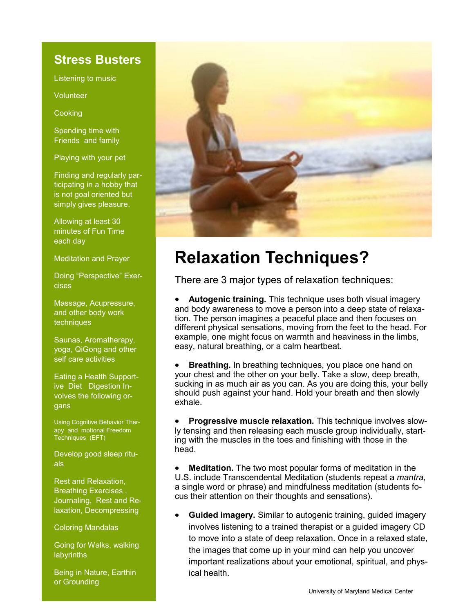#### **Stress Busters**

Listening to music

Volunteer

**Cooking** 

Spending time with Friends and family

Playing with your pet

Finding and regularly participating in a hobby that is not goal oriented but simply gives pleasure.

Allowing at least 30 minutes of Fun Time each day

Meditation and Prayer

Doing "Perspective" Exercises

Massage, Acupressure, and other body work techniques

Saunas, Aromatherapy, yoga, QiGong and other self care activities

Eating a Health Supportive Diet Digestion Involves the following organs

Using Cognitive Behavior Therapy and motional Freedom Techniques (EFT)

Develop good sleep rituals

Rest and Relaxation, Breathing Exercises , Journaling, Rest and Relaxation, Decompressing

Coloring Mandalas

Going for Walks, walking **labyrinths** 

Being in Nature, Earthin or Grounding



## **Relaxation Techniques?**

There are 3 major types of relaxation techniques:

 **Autogenic training.** This technique uses both visual imagery and body awareness to move a person into a deep state of relaxation. The person imagines a peaceful place and then focuses on different physical sensations, moving from the feet to the head. For example, one might focus on warmth and heaviness in the limbs, easy, natural breathing, or a calm heartbeat.

**Breathing.** In breathing techniques, you place one hand on your chest and the other on your belly. Take a slow, deep breath, sucking in as much air as you can. As you are doing this, your belly should push against your hand. Hold your breath and then slowly exhale.

 **Progressive muscle relaxation.** This technique involves slowly tensing and then releasing each muscle group individually, starting with the muscles in the toes and finishing with those in the head.

 **Meditation.** The two most popular forms of meditation in the U.S. include Transcendental Meditation (students repeat a *mantra*, a single word or phrase) and mindfulness meditation (students focus their attention on their thoughts and sensations).

 **Guided imagery.** Similar to autogenic training, guided imagery involves listening to a trained therapist or a guided imagery CD to move into a state of deep relaxation. Once in a relaxed state, the images that come up in your mind can help you uncover important realizations about your emotional, spiritual, and physical health.